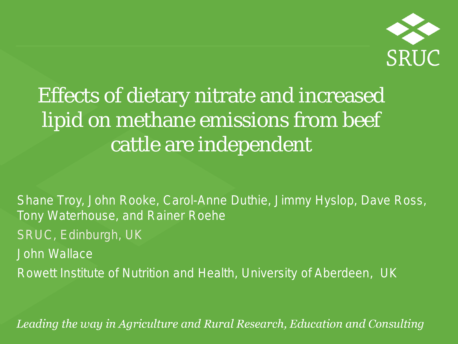

### Effects of dietary nitrate and increased lipid on methane emissions from beef cattle are independent

Shane Troy, John Rooke, Carol-Anne Duthie, Jimmy Hyslop, Dave Ross, Tony Waterhouse, and Rainer Roehe *SRUC, Edinburgh, UK* John Wallace *Rowett Institute of Nutrition and Health, University of Aberdeen, UK*

Leading the way in Agriculture and Rural Research, Education and Consulting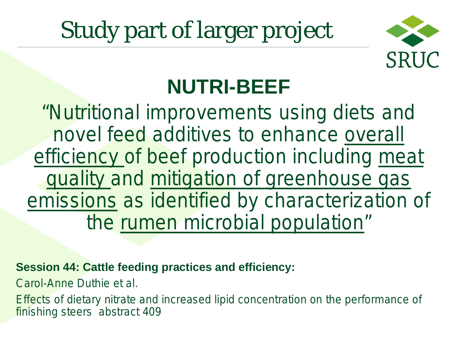# Study part of larger project



### **NUTRI-BEEF**

*"Nutritional improvements using diets and novel feed additives to enhance overall efficiency of beef production including meat quality and mitigation of greenhouse gas emissions as identified by characterization of the rumen microbial population"*

**Session 44: Cattle feeding practices and efficiency:**

*Carol-Anne Duthie et al.* 

*Effects of dietary nitrate and increased lipid concentration on the performance of finishing steers abstract 409*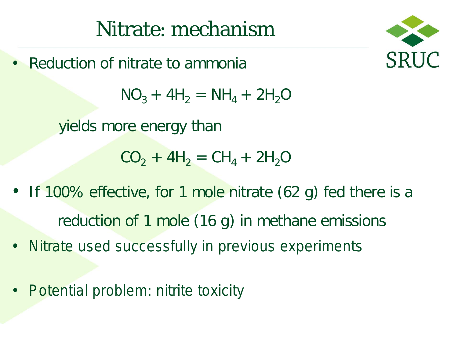• Reduction of nitrate to ammonia



 $NO_3 + 4H_2 = NH_4 + 2H_2O$ 

yields more energy than

 $CO_2 + 4H_2 = CH_4 + 2H_2O$ 

- If 100% effective, for 1 mole nitrate (62 g) fed there is a reduction of 1 mole (16 g) in methane emissions
- Nitrate used successfully in previous experiments
- Potential problem: nitrite toxicity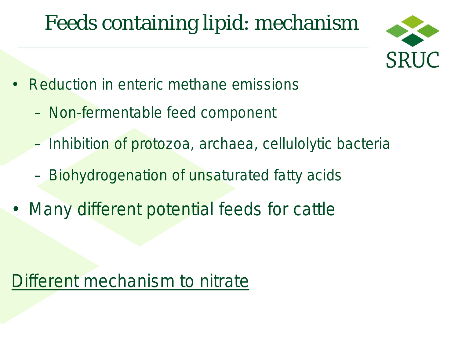### Feeds containing lipid: mechanism



- Reduction in enteric methane emissions
	- Non-fermentable feed component
	- Inhibition of protozoa, archaea, cellulolytic bacteria
	- Biohydrogenation of unsaturated fatty acids
- Many different potential feeds for cattle

#### Different mechanism to nitrate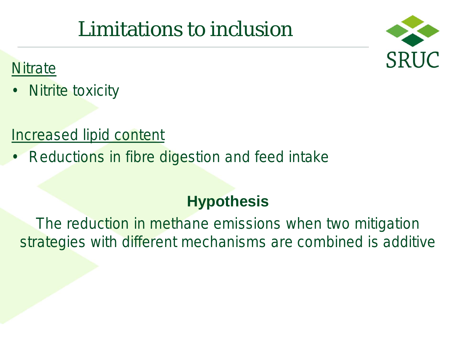### Limitations to inclusion



#### **Nitrate**

• Nitrite toxicity

#### Increased lipid content

**Reductions in fibre digestion and feed intake** 

#### **Hypothesis**

The reduction in methane emissions when two mitigation strategies with different mechanisms are combined is additive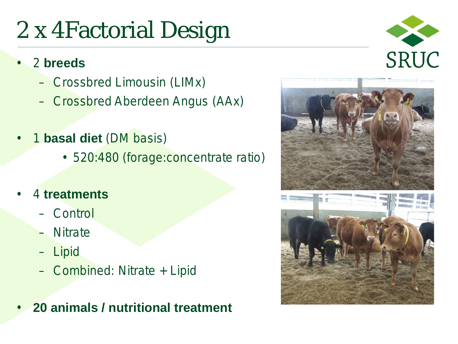# 2 x 4Factorial Design



#### • 2 **breeds**

- Crossbred Limousin (LIMx)
- Crossbred Aberdeen Angus (AAx)
- 1 **basal diet** (DM basis)
	- 520:480 (forage:concentrate ratio)
- 4 **treatments**
	- Control
	- Nitrate
	- Lipid
	- Combined: Nitrate + Lipid
- **20 animals / nutritional treatment**

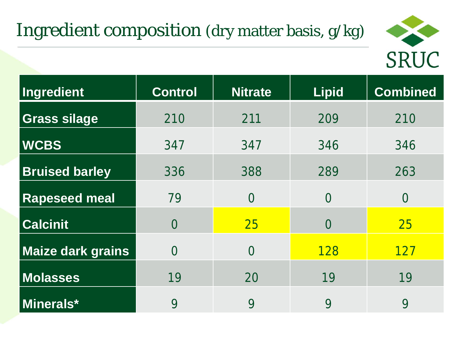#### Ingredient composition (dry matter basis, g/kg)



| Ingredient               | <b>Control</b> | <b>Nitrate</b> | <b>Lipid</b> | <b>Combined</b> |
|--------------------------|----------------|----------------|--------------|-----------------|
| <b>Grass silage</b>      | 210            | 211            | 209          | 210             |
| <b>WCBS</b>              | 347            | 347            | 346          | 346             |
| <b>Bruised barley</b>    | 336            | 388            | 289          | 263             |
| <b>Rapeseed meal</b>     | 79             | $\Omega$       | $\Omega$     | $\Omega$        |
| <b>Calcinit</b>          | $\Omega$       | 25             | $\Omega$     | 25              |
| <b>Maize dark grains</b> | $\Omega$       | $\Omega$       | <b>128</b>   | <b>127</b>      |
| <b>Molasses</b>          | 19             | 20             | 19           | 19              |
| <b>Minerals*</b>         | 9              | 9              | 9            | 9               |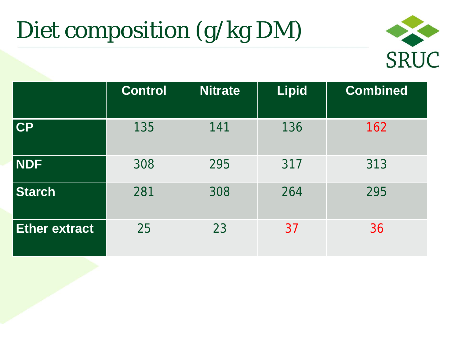# Diet composition (g/kg DM)



|                      | <b>Control</b> | <b>Nitrate</b> | <b>Lipid</b> | <b>Combined</b> |
|----------------------|----------------|----------------|--------------|-----------------|
| $ $ CP               | 135            | 141            | 136          | 162             |
| NDF                  | 308            | 295            | 317          | 313             |
| <b>Starch</b>        | 281            | 308            | 264          | 295             |
| <b>Ether extract</b> | 25             | 23             | 37           | 36              |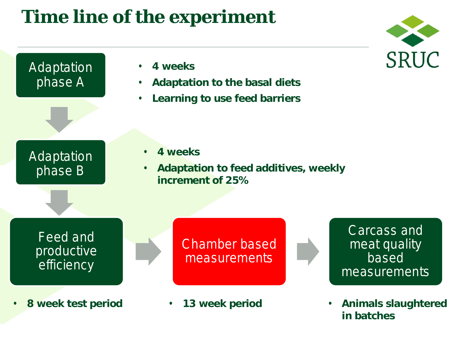#### **Time line of the experiment**





**in batches**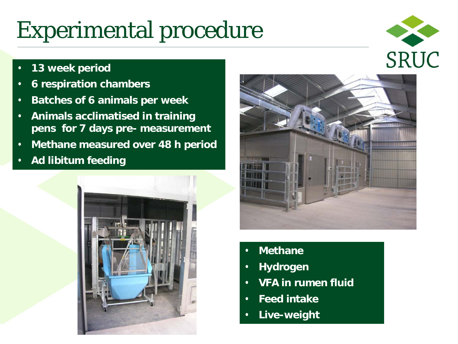## Experimental procedure

SRUC

- **13 week period**
- **6 respiration chambers**
- **Batches of 6 animals per week**
- **Animals acclimatised in training pens for 7 days pre- measurement**
- **Methane measured over 48 h period**
- **Ad libitum feeding**





- **Methane**
- **Hydrogen**
- **VFA in rumen fluid**
- **Feed intake**
- **Live-weight**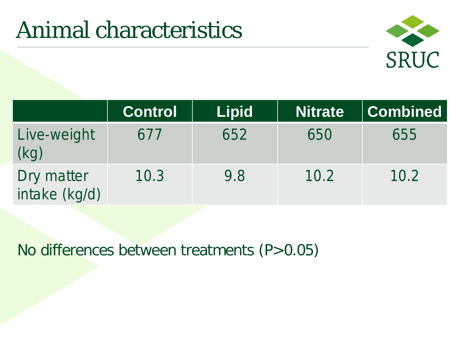### Animal characteristics



|                             | <b>Control</b> | <b>Lipid</b> | <b>Nitrate</b> | <b>Combined</b> |
|-----------------------------|----------------|--------------|----------------|-----------------|
| Live-weight<br>(kg)         | 677            | 652          | 650            | 655             |
| Dry matter<br>intake (kg/d) | 10.3           | 9.8          | 10.2           | 10.2            |

No differences between treatments (P>0.05)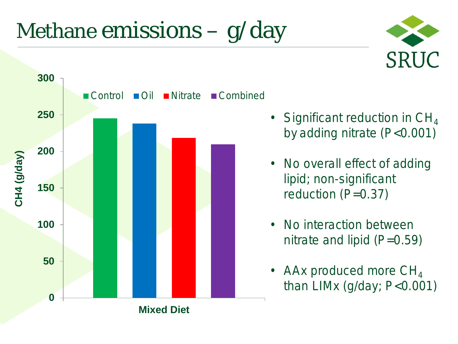## Methane emissions  $-$  g/day





- Significant reduction in  $CH<sub>4</sub>$ by adding nitrate (P<0.001)
- No overall effect of adding lipid; non-significant reduction (P=0.37)
- No interaction between nitrate and lipid  $(P=0.59)$
- AAx produced more  $CH<sub>4</sub>$ than LIMx (g/day; P<0.001)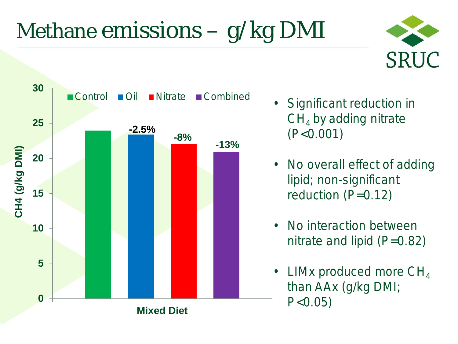# Methane emissions – g/kg DMI





- Significant reduction in  $CH<sub>4</sub>$  by adding nitrate (P<0.001)
- No overall effect of adding lipid; non-significant reduction (P=0.12)
- No interaction between nitrate and lipid  $(P=0.82)$
- LIMx produced more  $CH<sub>4</sub>$ than AAx (g/kg DMI;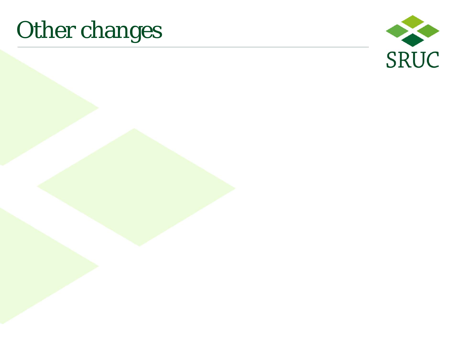## Other changes

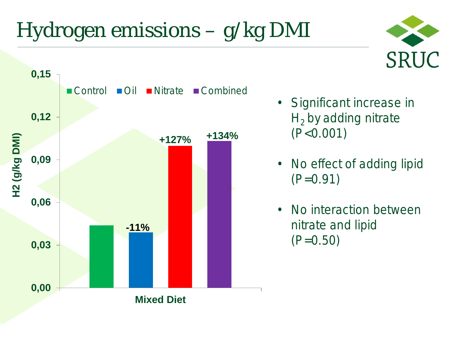# Hydrogen emissions – g/kg DMI



• Significant increase in  $H<sub>2</sub>$  by adding nitrate (P<0.001)

**SRUC** 

- No effect of adding lipid  $(P=0.91)$
- No interaction between nitrate and lipid  $(P=0.50)$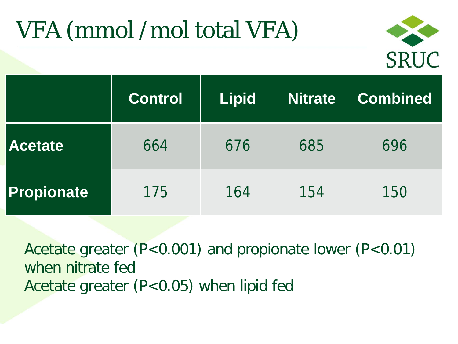# VFA (mmol /mol total VFA)



|                   | <b>Control</b> | <b>Lipid</b> | <b>Nitrate</b> | <b>Combined</b> |
|-------------------|----------------|--------------|----------------|-----------------|
| <b>Acetate</b>    | 664            | 676          | 685            | 696             |
| <b>Propionate</b> | 175            | 164          | 154            | 150             |

Acetate greater (P<0.001) and propionate lower (P<0.01) when nitrate fed Acetate greater (P<0.05) when lipid fed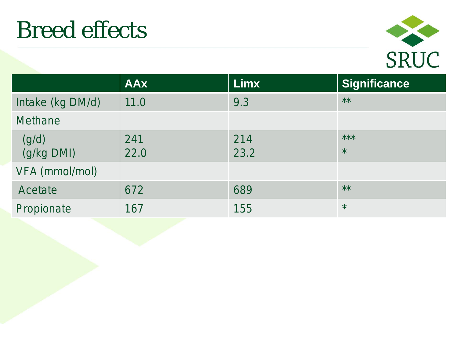

|                     | <b>AAx</b>  | <b>Limx</b> | Significance     |
|---------------------|-------------|-------------|------------------|
| Intake (kg DM/d)    | 11.0        | 9.3         | $***$            |
| <b>Methane</b>      |             |             |                  |
| (g/d)<br>(g/kg DMI) | 241<br>22.0 | 214<br>23.2 | $***$<br>$\star$ |
| VFA (mmol/mol)      |             |             |                  |
| Acetate             | 672         | 689         | $***$            |
| Propionate          | 167         | 155         | $\star$          |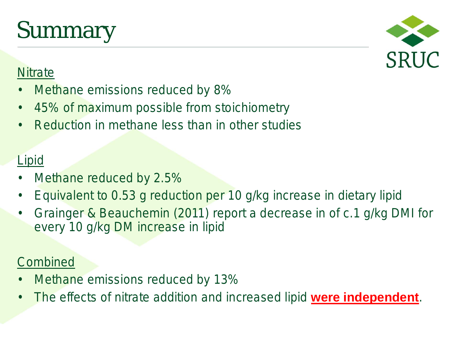## Summary



#### **Nitrate**

- Methane emissions reduced by 8%
- 45% of maximum possible from stoichiometry
- Reduction in methane less than in other studies

#### **Lipid**

- Methane reduced by 2.5%
- Equivalent to 0.53 g reduction per 10 g/kg increase in dietary lipid
- Grainger & Beauchemin (2011) report a decrease in of c.1 g/kg DMI for every 10 g/kg DM increase in lipid

#### **Combined**

- Methane emissions reduced by 13%
- The effects of nitrate addition and increased lipid **were independent**.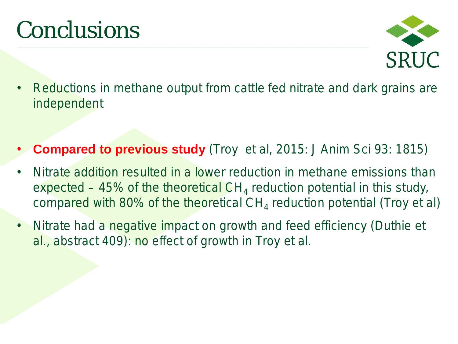## Conclusions



- Reductions in methane output from cattle fed nitrate and dark grains are independent
- **Compared to previous study** (Troy et al, 2015: J Anim Sci 93: 1815)
- Nitrate addition resulted in a lower reduction in methane emissions than expected – 45% of the theoretical  $CH<sub>4</sub>$  reduction potential in this study, compared with 80% of the theoretical  $CH<sub>4</sub>$  reduction potential (Troy et al)
- Nitrate had a negative impact on growth and feed efficiency (Duthie et al., abstract 409): no effect of growth in Troy et al.